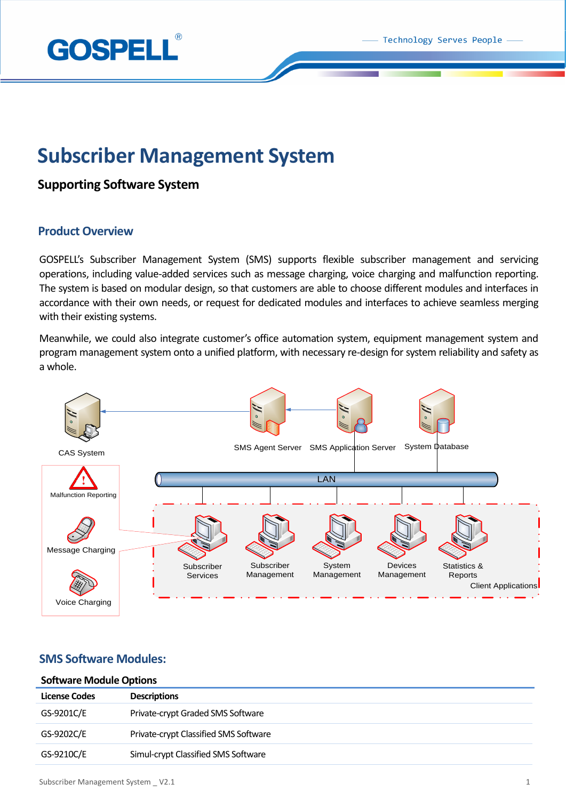

# **Subscriber Management System**

# **Supporting Software System**

## **Product Overview**

GOSPELL's Subscriber Management System (SMS) supports flexible subscriber management and servicing operations, including value-added services such as message charging, voice charging and malfunction reporting. The system is based on modular design, so that customers are able to choose different modules and interfaces in accordance with their own needs, or request for dedicated modules and interfaces to achieve seamless merging with their existing systems.

Meanwhile, we could also integrate customer's office automation system, equipment management system and program management system onto a unified platform, with necessary re-design for system reliability and safety as a whole.



# **SMS Software Modules:**

## **Software Module Options**

| <b>License Codes</b> | <b>Descriptions</b>                   |
|----------------------|---------------------------------------|
| GS-9201C/E           | Private-crypt Graded SMS Software     |
| GS-9202C/E           | Private-crypt Classified SMS Software |
| GS-9210C/E           | Simul-crypt Classified SMS Software   |